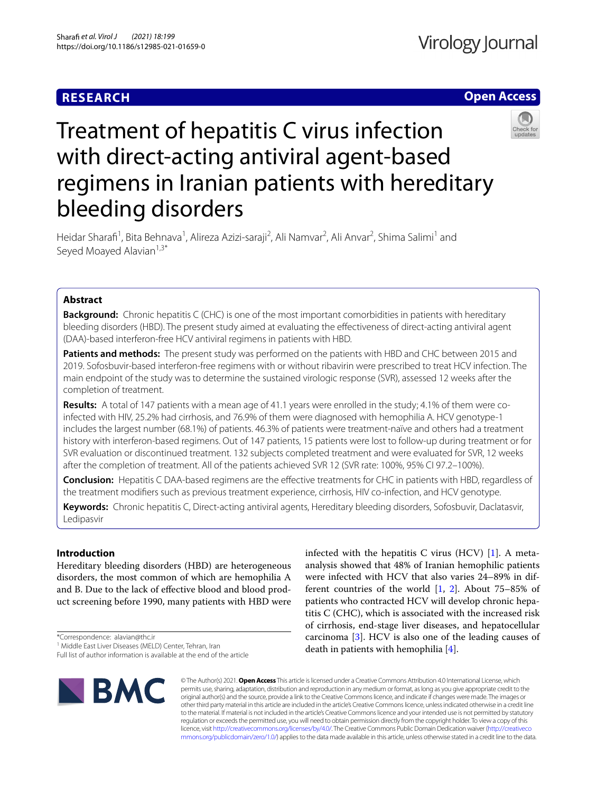### **RESEARCH**

### **Open Access**



# Treatment of hepatitis C virus infection with direct-acting antiviral agent-based regimens in Iranian patients with hereditary bleeding disorders

Heidar Sharafi<sup>1</sup>, Bita Behnava<sup>1</sup>, Alireza Azizi-saraji<sup>2</sup>, Ali Namvar<sup>2</sup>, Ali Anvar<sup>2</sup>, Shima Salimi<sup>1</sup> and Seyed Moayed Alavian<sup>1,3\*</sup>

### **Abstract**

**Background:** Chronic hepatitis C (CHC) is one of the most important comorbidities in patients with hereditary bleeding disorders (HBD). The present study aimed at evaluating the efectiveness of direct-acting antiviral agent (DAA)-based interferon-free HCV antiviral regimens in patients with HBD.

**Patients and methods:** The present study was performed on the patients with HBD and CHC between 2015 and 2019. Sofosbuvir-based interferon-free regimens with or without ribavirin were prescribed to treat HCV infection. The main endpoint of the study was to determine the sustained virologic response (SVR), assessed 12 weeks after the completion of treatment.

**Results:** A total of 147 patients with a mean age of 41.1 years were enrolled in the study; 4.1% of them were coinfected with HIV, 25.2% had cirrhosis, and 76.9% of them were diagnosed with hemophilia A. HCV genotype-1 includes the largest number (68.1%) of patients. 46.3% of patients were treatment-naïve and others had a treatment history with interferon-based regimens. Out of 147 patients, 15 patients were lost to follow-up during treatment or for SVR evaluation or discontinued treatment. 132 subjects completed treatment and were evaluated for SVR, 12 weeks after the completion of treatment. All of the patients achieved SVR 12 (SVR rate: 100%, 95% CI 97.2–100%).

**Conclusion:** Hepatitis C DAA-based regimens are the efective treatments for CHC in patients with HBD, regardless of the treatment modifers such as previous treatment experience, cirrhosis, HIV co-infection, and HCV genotype.

**Keywords:** Chronic hepatitis C, Direct-acting antiviral agents, Hereditary bleeding disorders, Sofosbuvir, Daclatasvir, Ledipasvir

### **Introduction**

Hereditary bleeding disorders (HBD) are heterogeneous disorders, the most common of which are hemophilia A and B. Due to the lack of efective blood and blood product screening before 1990, many patients with HBD were

\*Correspondence: alavian@thc.ir

Full list of author information is available at the end of the article



infected with the hepatitis C virus (HCV)  $[1]$  $[1]$  $[1]$ . A metaanalysis showed that 48% of Iranian hemophilic patients were infected with HCV that also varies 24–89% in different countries of the world [\[1,](#page-8-0) [2\]](#page-9-0). About 75–85% of patients who contracted HCV will develop chronic hepatitis C (CHC), which is associated with the increased risk of cirrhosis, end-stage liver diseases, and hepatocellular carcinoma [\[3](#page-9-1)]. HCV is also one of the leading causes of death in patients with hemophilia [\[4](#page-9-2)].

© The Author(s) 2021. **Open Access** This article is licensed under a Creative Commons Attribution 4.0 International License, which permits use, sharing, adaptation, distribution and reproduction in any medium or format, as long as you give appropriate credit to the original author(s) and the source, provide a link to the Creative Commons licence, and indicate if changes were made. The images or other third party material in this article are included in the article's Creative Commons licence, unless indicated otherwise in a credit line to the material. If material is not included in the article's Creative Commons licence and your intended use is not permitted by statutory regulation or exceeds the permitted use, you will need to obtain permission directly from the copyright holder. To view a copy of this licence, visit [http://creativecommons.org/licenses/by/4.0/.](http://creativecommons.org/licenses/by/4.0/) The Creative Commons Public Domain Dedication waiver ([http://creativeco](http://creativecommons.org/publicdomain/zero/1.0/) [mmons.org/publicdomain/zero/1.0/](http://creativecommons.org/publicdomain/zero/1.0/)) applies to the data made available in this article, unless otherwise stated in a credit line to the data.

<sup>&</sup>lt;sup>1</sup> Middle East Liver Diseases (MELD) Center, Tehran, Iran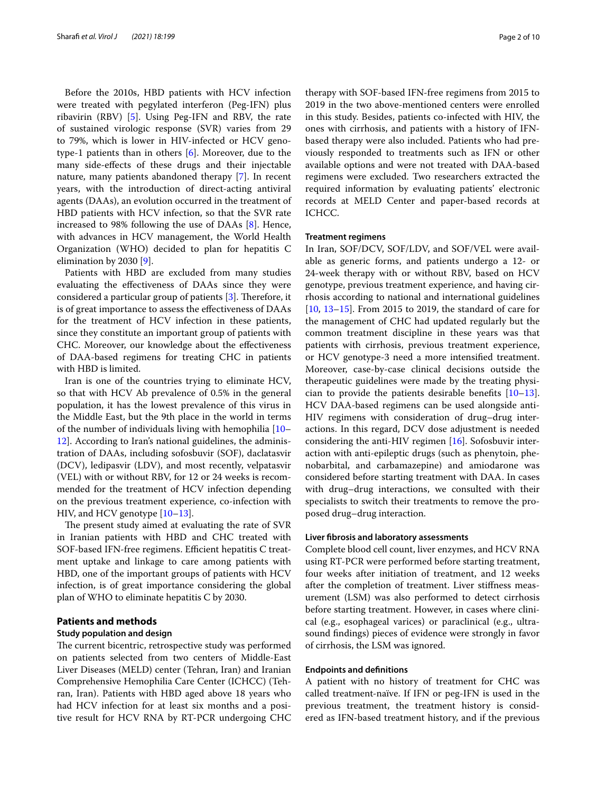Before the 2010s, HBD patients with HCV infection were treated with pegylated interferon (Peg-IFN) plus ribavirin (RBV) [\[5\]](#page-9-3). Using Peg-IFN and RBV, the rate of sustained virologic response (SVR) varies from 29 to 79%, which is lower in HIV-infected or HCV genotype-1 patients than in others [\[6](#page-9-4)]. Moreover, due to the many side-efects of these drugs and their injectable nature, many patients abandoned therapy [\[7](#page-9-5)]. In recent years, with the introduction of direct-acting antiviral agents (DAAs), an evolution occurred in the treatment of HBD patients with HCV infection, so that the SVR rate increased to 98% following the use of DAAs [\[8](#page-9-6)]. Hence, with advances in HCV management, the World Health Organization (WHO) decided to plan for hepatitis C elimination by 2030 [[9\]](#page-9-7).

Patients with HBD are excluded from many studies evaluating the efectiveness of DAAs since they were considered a particular group of patients  $[3]$  $[3]$ . Therefore, it is of great importance to assess the efectiveness of DAAs for the treatment of HCV infection in these patients, since they constitute an important group of patients with CHC. Moreover, our knowledge about the efectiveness of DAA-based regimens for treating CHC in patients with HBD is limited.

Iran is one of the countries trying to eliminate HCV, so that with HCV Ab prevalence of 0.5% in the general population, it has the lowest prevalence of this virus in the Middle East, but the 9th place in the world in terms of the number of individuals living with hemophilia [[10–](#page-9-8) [12\]](#page-9-9). According to Iran's national guidelines, the administration of DAAs, including sofosbuvir (SOF), daclatasvir (DCV), ledipasvir (LDV), and most recently, velpatasvir (VEL) with or without RBV, for 12 or 24 weeks is recommended for the treatment of HCV infection depending on the previous treatment experience, co-infection with HIV, and HCV genotype [\[10](#page-9-8)[–13](#page-9-10)].

The present study aimed at evaluating the rate of SVR in Iranian patients with HBD and CHC treated with SOF-based IFN-free regimens. Efficient hepatitis C treatment uptake and linkage to care among patients with HBD, one of the important groups of patients with HCV infection, is of great importance considering the global plan of WHO to eliminate hepatitis C by 2030.

### **Patients and methods**

### **Study population and design**

The current bicentric, retrospective study was performed on patients selected from two centers of Middle-East Liver Diseases (MELD) center (Tehran, Iran) and Iranian Comprehensive Hemophilia Care Center (ICHCC) (Tehran, Iran). Patients with HBD aged above 18 years who had HCV infection for at least six months and a positive result for HCV RNA by RT-PCR undergoing CHC therapy with SOF-based IFN-free regimens from 2015 to 2019 in the two above-mentioned centers were enrolled in this study. Besides, patients co-infected with HIV, the ones with cirrhosis, and patients with a history of IFNbased therapy were also included. Patients who had previously responded to treatments such as IFN or other available options and were not treated with DAA-based regimens were excluded. Two researchers extracted the required information by evaluating patients' electronic records at MELD Center and paper-based records at ICHCC.

### **Treatment regimens**

In Iran, SOF/DCV, SOF/LDV, and SOF/VEL were available as generic forms, and patients undergo a 12- or 24-week therapy with or without RBV, based on HCV genotype, previous treatment experience, and having cirrhosis according to national and international guidelines [[10,](#page-9-8) [13–](#page-9-10)[15\]](#page-9-11). From 2015 to 2019, the standard of care for the management of CHC had updated regularly but the common treatment discipline in these years was that patients with cirrhosis, previous treatment experience, or HCV genotype-3 need a more intensifed treatment. Moreover, case-by-case clinical decisions outside the therapeutic guidelines were made by the treating physician to provide the patients desirable benefts [[10](#page-9-8)[–13](#page-9-10)]. HCV DAA-based regimens can be used alongside anti-HIV regimens with consideration of drug–drug interactions. In this regard, DCV dose adjustment is needed considering the anti-HIV regimen [\[16](#page-9-12)]. Sofosbuvir interaction with anti-epileptic drugs (such as phenytoin, phenobarbital, and carbamazepine) and amiodarone was considered before starting treatment with DAA. In cases with drug–drug interactions, we consulted with their specialists to switch their treatments to remove the proposed drug–drug interaction.

#### **Liver fbrosis and laboratory assessments**

Complete blood cell count, liver enzymes, and HCV RNA using RT-PCR were performed before starting treatment, four weeks after initiation of treatment, and 12 weeks after the completion of treatment. Liver stifness measurement (LSM) was also performed to detect cirrhosis before starting treatment. However, in cases where clinical (e.g., esophageal varices) or paraclinical (e.g., ultrasound fndings) pieces of evidence were strongly in favor of cirrhosis, the LSM was ignored.

### **Endpoints and defnitions**

A patient with no history of treatment for CHC was called treatment-naïve. If IFN or peg-IFN is used in the previous treatment, the treatment history is considered as IFN-based treatment history, and if the previous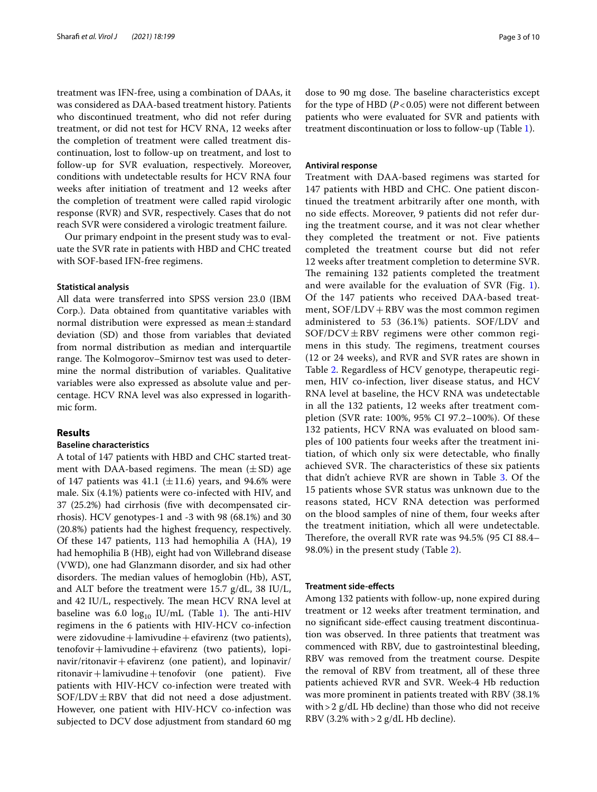treatment was IFN-free, using a combination of DAAs, it was considered as DAA-based treatment history. Patients who discontinued treatment, who did not refer during treatment, or did not test for HCV RNA, 12 weeks after the completion of treatment were called treatment discontinuation, lost to follow-up on treatment, and lost to follow-up for SVR evaluation, respectively. Moreover, conditions with undetectable results for HCV RNA four weeks after initiation of treatment and 12 weeks after the completion of treatment were called rapid virologic response (RVR) and SVR, respectively. Cases that do not reach SVR were considered a virologic treatment failure.

Our primary endpoint in the present study was to evaluate the SVR rate in patients with HBD and CHC treated with SOF-based IFN-free regimens.

#### **Statistical analysis**

All data were transferred into SPSS version 23.0 (IBM Corp.). Data obtained from quantitative variables with normal distribution were expressed as mean±standard deviation (SD) and those from variables that deviated from normal distribution as median and interquartile range. The Kolmogorov–Smirnov test was used to determine the normal distribution of variables. Qualitative variables were also expressed as absolute value and percentage. HCV RNA level was also expressed in logarithmic form.

### **Results**

### **Baseline characteristics**

A total of 147 patients with HBD and CHC started treatment with DAA-based regimens. The mean  $(\pm SD)$  age of 147 patients was 41.1 ( $\pm$ 11.6) years, and 94.6% were male. Six (4.1%) patients were co-infected with HIV, and 37 (25.2%) had cirrhosis (fve with decompensated cirrhosis). HCV genotypes-1 and -3 with 98 (68.1%) and 30 (20.8%) patients had the highest frequency, respectively. Of these 147 patients, 113 had hemophilia A (HA), 19 had hemophilia B (HB), eight had von Willebrand disease (VWD), one had Glanzmann disorder, and six had other disorders. The median values of hemoglobin (Hb), AST, and ALT before the treatment were 15.7 g/dL, 38 IU/L, and 42 IU/L, respectively. The mean HCV RNA level at baseline was 6.0  $log_{10}$  $log_{10}$  $log_{10}$  IU/mL (Table 1). The anti-HIV regimens in the 6 patients with HIV-HCV co-infection were zidovudine + lamivudine + efavirenz (two patients), tenofovir+lamivudine+efavirenz (two patients), lopinavir/ritonavir+efavirenz (one patient), and lopinavir/  $riton a vir + lamivudine + tenofovir$  (one patient). Five patients with HIV-HCV co-infection were treated with  $SOF/LDV \pm RBV$  that did not need a dose adjustment. However, one patient with HIV-HCV co-infection was subjected to DCV dose adjustment from standard 60 mg

dose to 90 mg dose. The baseline characteristics except for the type of HBD  $(P<0.05)$  were not different between patients who were evaluated for SVR and patients with treatment discontinuation or loss to follow-up (Table [1](#page-3-0)).

### **Antiviral response**

Treatment with DAA-based regimens was started for 147 patients with HBD and CHC. One patient discontinued the treatment arbitrarily after one month, with no side efects. Moreover, 9 patients did not refer during the treatment course, and it was not clear whether they completed the treatment or not. Five patients completed the treatment course but did not refer 12 weeks after treatment completion to determine SVR. The remaining 132 patients completed the treatment and were available for the evaluation of SVR (Fig. [1](#page-4-0)). Of the 147 patients who received DAA-based treatment, SOF/LDV + RBV was the most common regimen administered to 53 (36.1%) patients. SOF/LDV and  $SOF/DCV \pm RBV$  regimens were other common regimens in this study. The regimens, treatment courses (12 or 24 weeks), and RVR and SVR rates are shown in Table [2](#page-5-0). Regardless of HCV genotype, therapeutic regimen, HIV co-infection, liver disease status, and HCV RNA level at baseline, the HCV RNA was undetectable in all the 132 patients, 12 weeks after treatment completion (SVR rate: 100%, 95% CI 97.2–100%). Of these 132 patients, HCV RNA was evaluated on blood samples of 100 patients four weeks after the treatment initiation, of which only six were detectable, who fnally achieved SVR. The characteristics of these six patients that didn't achieve RVR are shown in Table [3](#page-6-0). Of the 15 patients whose SVR status was unknown due to the reasons stated, HCV RNA detection was performed on the blood samples of nine of them, four weeks after the treatment initiation, which all were undetectable. Therefore, the overall RVR rate was  $94.5\%$  (95 CI 88.4– 98.0%) in the present study (Table [2\)](#page-5-0).

### **Treatment side‑efects**

Among 132 patients with follow-up, none expired during treatment or 12 weeks after treatment termination, and no signifcant side-efect causing treatment discontinuation was observed. In three patients that treatment was commenced with RBV, due to gastrointestinal bleeding, RBV was removed from the treatment course. Despite the removal of RBV from treatment, all of these three patients achieved RVR and SVR. Week-4 Hb reduction was more prominent in patients treated with RBV (38.1% with  $>$  2 g/dL Hb decline) than those who did not receive RBV (3.2% with  $>$  2 g/dL Hb decline).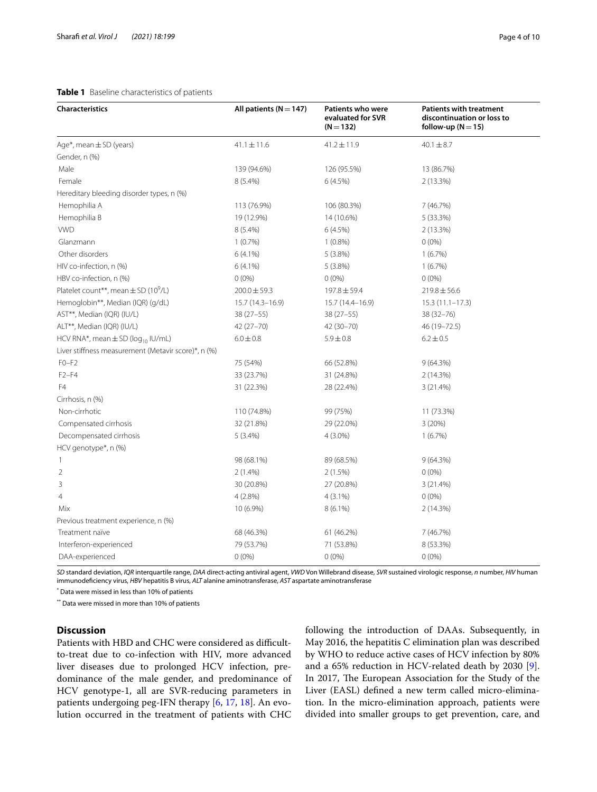### <span id="page-3-0"></span>**Table 1** Baseline characteristics of patients

| Characteristics                                      | All patients ( $N = 147$ ) | <b>Patients who were</b><br>evaluated for SVR<br>$(N = 132)$ | <b>Patients with treatment</b><br>discontinuation or loss to<br>follow-up ( $N = 15$ ) |
|------------------------------------------------------|----------------------------|--------------------------------------------------------------|----------------------------------------------------------------------------------------|
| Age*, mean ± SD (years)                              | $41.1 \pm 11.6$            | $41.2 \pm 11.9$                                              | $40.1 \pm 8.7$                                                                         |
| Gender, n (%)                                        |                            |                                                              |                                                                                        |
| Male                                                 | 139 (94.6%)                | 126 (95.5%)                                                  | 13 (86.7%)                                                                             |
| Female                                               | $8(5.4\%)$                 | 6(4.5%)                                                      | 2(13.3%)                                                                               |
| Hereditary bleeding disorder types, n (%)            |                            |                                                              |                                                                                        |
| Hemophilia A                                         | 113 (76.9%)                | 106 (80.3%)                                                  | 7 (46.7%)                                                                              |
| Hemophilia B                                         | 19 (12.9%)                 | 14 (10.6%)                                                   | 5 (33.3%)                                                                              |
| <b>VWD</b>                                           | $8(5.4\%)$                 | 6(4.5%)                                                      | 2(13.3%)                                                                               |
| Glanzmann                                            | 1(0.7%)                    | $1(0.8\%)$                                                   | $0(0\%)$                                                                               |
| Other disorders                                      | $6(4.1\%)$                 | 5(3.8%)                                                      | 1(6.7%)                                                                                |
| HIV co-infection, n (%)                              | $6(4.1\%)$                 | 5(3.8%)                                                      | 1(6.7%)                                                                                |
| HBV co-infection, n (%)                              | $0(0\%)$                   | $0(0\%)$                                                     | $0(0\%)$                                                                               |
| Platelet count**, mean $\pm$ SD (10 <sup>9</sup> /L) | $200.0 \pm 59.3$           | 197.8 ± 59.4                                                 | $219.8 \pm 56.6$                                                                       |
| Hemoglobin**, Median (IQR) (g/dL)                    | 15.7 (14.3-16.9)           | $15.7(14.4 - 16.9)$                                          | $15.3(11.1-17.3)$                                                                      |
| AST**, Median (IQR) (IU/L)                           | $38(27 - 55)$              | $38(27 - 55)$                                                | $38(32 - 76)$                                                                          |
| ALT**, Median (IQR) (IU/L)                           | 42 (27-70)                 | 42 (30-70)                                                   | 46 (19 - 72.5)                                                                         |
| HCV RNA*, mean $\pm$ SD (log <sub>10</sub> IU/mL)    | $6.0 \pm 0.8$              | $5.9 \pm 0.8$                                                | $6.2 \pm 0.5$                                                                          |
| Liver stiffness measurement (Metavir score)*, n (%)  |                            |                                                              |                                                                                        |
| $F0-F2$                                              | 75 (54%)                   | 66 (52.8%)                                                   | 9(64.3%)                                                                               |
| $F2-F4$                                              | 33 (23.7%)                 | 31 (24.8%)                                                   | 2 (14.3%)                                                                              |
| F4                                                   | 31 (22.3%)                 | 28 (22.4%)                                                   | 3 (21.4%)                                                                              |
| Cirrhosis, n (%)                                     |                            |                                                              |                                                                                        |
| Non-cirrhotic                                        | 110 (74.8%)                | 99 (75%)                                                     | 11 (73.3%)                                                                             |
| Compensated cirrhosis                                | 32 (21.8%)                 | 29 (22.0%)                                                   | 3(20%)                                                                                 |
| Decompensated cirrhosis                              | 5(3.4%)                    | $4(3.0\%)$                                                   | 1(6.7%)                                                                                |
| HCV genotype*, n (%)                                 |                            |                                                              |                                                                                        |
| 1                                                    | 98 (68.1%)                 | 89 (68.5%)                                                   | 9(64.3%)                                                                               |
| $\overline{2}$                                       | $2(1.4\%)$                 | 2(1.5%)                                                      | $0(0\%)$                                                                               |
| 3                                                    | 30 (20.8%)                 | 27 (20.8%)                                                   | 3(21.4%)                                                                               |
| 4                                                    | 4(2.8%)                    | $4(3.1\%)$                                                   | $0(0\%)$                                                                               |
| Mix                                                  | 10 (6.9%)                  | $8(6.1\%)$                                                   | 2(14.3%)                                                                               |
| Previous treatment experience, n (%)                 |                            |                                                              |                                                                                        |
| Treatment naïve                                      | 68 (46.3%)                 | 61 (46.2%)                                                   | 7 (46.7%)                                                                              |
| Interferon-experienced                               | 79 (53.7%)                 | 71 (53.8%)                                                   | 8 (53.3%)                                                                              |
| DAA-experienced                                      | $0(0\%)$                   | $0(0\%)$                                                     | $0(0\%)$                                                                               |

*SD* standard deviation, *IQR* interquartile range, *DAA* direct-acting antiviral agent, *VWD* Von Willebrand disease, *SVR* sustained virologic response, *n* number, *HIV* human immunodefciency virus, *HBV* hepatitis B virus, *ALT* alanine aminotransferase, *AST* aspartate aminotransferase

\* Data were missed in less than 10% of patients

\*\* Data were missed in more than 10% of patients

### **Discussion**

Patients with HBD and CHC were considered as difficultto-treat due to co-infection with HIV, more advanced liver diseases due to prolonged HCV infection, predominance of the male gender, and predominance of HCV genotype-1, all are SVR-reducing parameters in patients undergoing peg-IFN therapy [\[6,](#page-9-4) [17,](#page-9-13) [18](#page-9-14)]. An evolution occurred in the treatment of patients with CHC following the introduction of DAAs. Subsequently, in May 2016, the hepatitis C elimination plan was described by WHO to reduce active cases of HCV infection by 80% and a 65% reduction in HCV-related death by 2030 [\[9](#page-9-7)]. In 2017, The European Association for the Study of the Liver (EASL) defned a new term called micro-elimination. In the micro-elimination approach, patients were divided into smaller groups to get prevention, care, and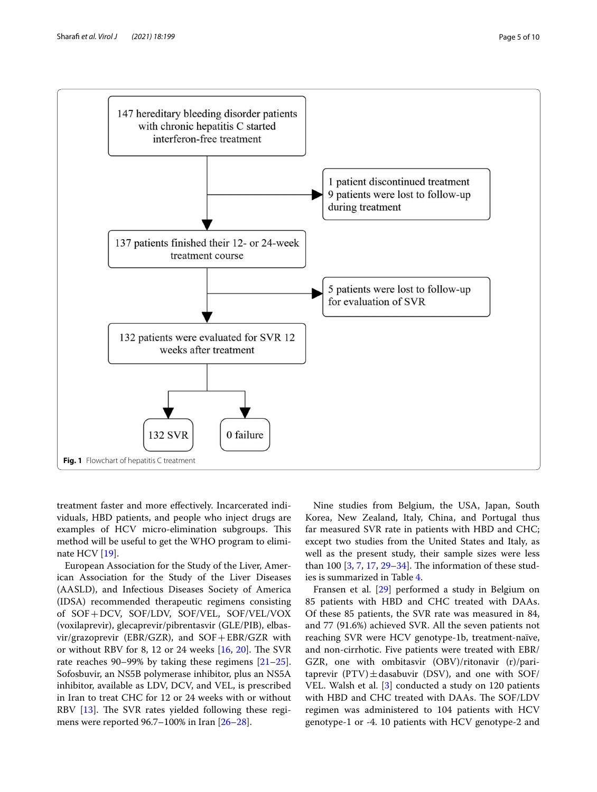

<span id="page-4-0"></span>treatment faster and more efectively. Incarcerated individuals, HBD patients, and people who inject drugs are examples of HCV micro-elimination subgroups. This method will be useful to get the WHO program to eliminate HCV [\[19](#page-9-15)].

European Association for the Study of the Liver, American Association for the Study of the Liver Diseases (AASLD), and Infectious Diseases Society of America (IDSA) recommended therapeutic regimens consisting of SOF+DCV, SOF/LDV, SOF/VEL, SOF/VEL/VOX (voxilaprevir), glecaprevir/pibrentasvir (GLE/PIB), elbasvir/grazoprevir (EBR/GZR), and SOF+EBR/GZR with or without RBV for 8, 12 or 24 weeks  $[16, 20]$  $[16, 20]$  $[16, 20]$  $[16, 20]$ . The SVR rate reaches 90–99% by taking these regimens [[21](#page-9-17)[–25](#page-9-18)]. Sofosbuvir, an NS5B polymerase inhibitor, plus an NS5A inhibitor, available as LDV, DCV, and VEL, is prescribed in Iran to treat CHC for 12 or 24 weeks with or without RBV  $[13]$ . The SVR rates yielded following these regimens were reported 96.7–100% in Iran [\[26](#page-9-19)[–28](#page-9-20)].

Nine studies from Belgium, the USA, Japan, South Korea, New Zealand, Italy, China, and Portugal thus far measured SVR rate in patients with HBD and CHC; except two studies from the United States and Italy, as well as the present study, their sample sizes were less than 100  $[3, 7, 17, 29-34]$  $[3, 7, 17, 29-34]$  $[3, 7, 17, 29-34]$  $[3, 7, 17, 29-34]$  $[3, 7, 17, 29-34]$  $[3, 7, 17, 29-34]$ . The information of these studies is summarized in Table [4.](#page-7-0)

Fransen et al. [[29\]](#page-9-21) performed a study in Belgium on 85 patients with HBD and CHC treated with DAAs. Of these 85 patients, the SVR rate was measured in 84, and 77 (91.6%) achieved SVR. All the seven patients not reaching SVR were HCV genotype-1b, treatment-naïve, and non-cirrhotic. Five patients were treated with EBR/ GZR, one with ombitasvir (OBV)/ritonavir (r)/paritaprevir  $(PTV) \pm$ dasabuvir (DSV), and one with SOF/ VEL. Walsh et al. [[3\]](#page-9-1) conducted a study on 120 patients with HBD and CHC treated with DAAs. The SOF/LDV regimen was administered to 104 patients with HCV genotype-1 or -4. 10 patients with HCV genotype-2 and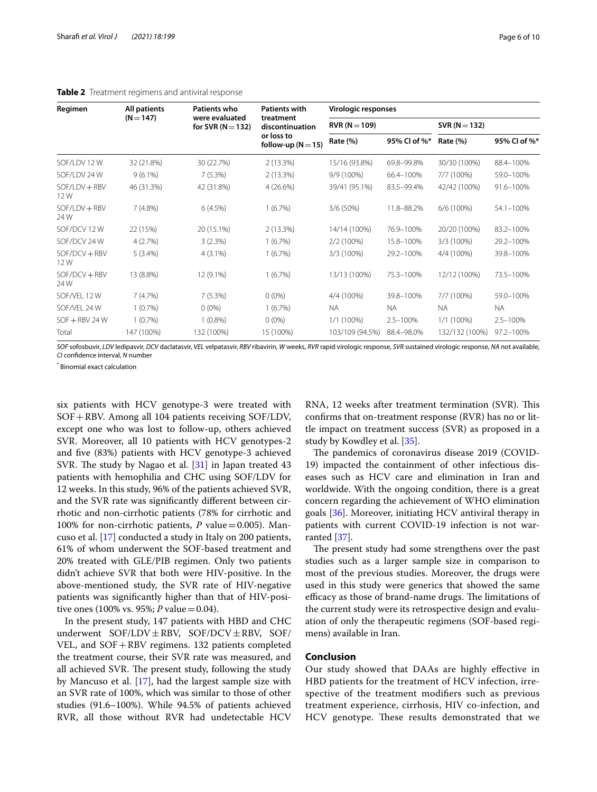| Regimen                | All patients | Patients who                          | <b>Patients with</b>                 | Virologic responses |              |                 |              |  |
|------------------------|--------------|---------------------------------------|--------------------------------------|---------------------|--------------|-----------------|--------------|--|
|                        | $(N = 147)$  | were evaluated<br>for SVR $(N = 132)$ | treatment<br>discontinuation         | $RVR (N = 109)$     |              | $SVR (N = 132)$ |              |  |
|                        |              |                                       | or loss to<br>follow-up ( $N = 15$ ) | Rate (%)            | 95% CI of %* | Rate (%)        | 95% CI of %* |  |
| SOF/LDV 12 W           | 32 (21.8%)   | 30 (22.7%)                            | $2(13.3\%)$                          | 15/16 (93.8%)       | 69.8-99.8%   | 30/30 (100%)    | 88.4-100%    |  |
| SOF/LDV 24 W           | $9(6.1\%)$   | 7(5.3%)                               | 2 (13.3%)                            | 9/9 (100%)          | 66.4-100%    | 7/7 (100%)      | 59.0-100%    |  |
| $SOF/LDV + RBV$<br>12W | 46 (31.3%)   | 42 (31.8%)                            | 4(26.6%)                             | 39/41 (95.1%)       | 83.5-99.4%   | 42/42 (100%)    | 91.6-100%    |  |
| SOF/LDV + RBV<br>24 W  | 7(4.8%)      | 6(4.5%)                               | 1(6.7%)                              | 3/6 (50%)           | 11.8-88.2%   | 6/6 (100%)      | 54.1-100%    |  |
| SOF/DCV 12W            | 22 (15%)     | 20 (15.1%)                            | 2(13.3%)                             | 14/14 (100%)        | 76.9-100%    | 20/20 (100%)    | 83.2-100%    |  |
| SOF/DCV 24 W           | 4(2.7%)      | 3(2.3%)                               | 1(6.7%)                              | $2/2(100\%)$        | 15.8-100%    | 3/3 (100%)      | 29.2-100%    |  |
| SOF/DCV + RBV<br>12W   | $5(3.4\%)$   | $4(3.1\%)$                            | 1(6.7%)                              | 3/3 (100%)          | 29.2-100%    | 4/4 (100%)      | 39.8-100%    |  |
| SOF/DCV + RBV<br>24 W  | 13 (8.8%)    | 12 (9.1%)                             | $(6.7\%)$                            | 13/13 (100%)        | 75.3-100%    | 12/12 (100%)    | 73.5-100%    |  |
| SOF/VEL 12 W           | 7(4.7%)      | 7(5.3%)                               | $0(0\%)$                             | 4/4 (100%)          | 39.8-100%    | 7/7 (100%)      | 59.0-100%    |  |
| SOF/VEL 24 W           | 1(0.7%)      | $0(0\%)$                              | 1(6.7%)                              | <b>NA</b>           | <b>NA</b>    | <b>NA</b>       | NA.          |  |
| $SOF + RBV 24 W$       | 1(0.7%)      | $1(0.8\%)$                            | $0(0\%)$                             | 1/1 (100%)          | $2.5 - 100%$ | 1/1 (100%)      | $2.5 - 100%$ |  |
| Total                  | 147 (100%)   | 132 (100%)                            | 15 (100%)                            | 103/109 (94.5%)     | 88.4-98.0%   | 132/132 (100%)  | 97.2-100%    |  |

### <span id="page-5-0"></span>**Table 2** Treatment regimens and antiviral response

SOF sofosbuvir, LDV ledipasvir, DCV daclatasvir, VEL velpatasvir, RBV ribavirin, W weeks, RVR rapid virologic response, SVR sustained virologic response, NA not available, *CI* confdence interval, *N* number

\* Binomial exact calculation

six patients with HCV genotype-3 were treated with SOF+RBV. Among all 104 patients receiving SOF/LDV, except one who was lost to follow-up, others achieved SVR. Moreover, all 10 patients with HCV genotypes-2 and fve (83%) patients with HCV genotype-3 achieved SVR. The study by Nagao et al.  $[31]$  $[31]$  $[31]$  in Japan treated 43 patients with hemophilia and CHC using SOF/LDV for 12 weeks. In this study, 96% of the patients achieved SVR, and the SVR rate was signifcantly diferent between cirrhotic and non-cirrhotic patients (78% for cirrhotic and 100% for non-cirrhotic patients,  $P$  value = 0.005). Mancuso et al. [[17\]](#page-9-13) conducted a study in Italy on 200 patients, 61% of whom underwent the SOF-based treatment and 20% treated with GLE/PIB regimen. Only two patients didn't achieve SVR that both were HIV-positive. In the above-mentioned study, the SVR rate of HIV-negative patients was signifcantly higher than that of HIV-positive ones (100% vs. 95%; *P* value = 0.04).

In the present study, 147 patients with HBD and CHC underwent  $SOF/LDV \pm RBV$ ,  $SOF/DCV \pm RBV$ ,  $SOF/LDV \pm RBV$ VEL, and SOF+RBV regimens. 132 patients completed the treatment course, their SVR rate was measured, and all achieved SVR. The present study, following the study by Mancuso et al. [[17\]](#page-9-13), had the largest sample size with an SVR rate of 100%, which was similar to those of other studies (91.6–100%). While 94.5% of patients achieved RVR, all those without RVR had undetectable HCV

RNA, 12 weeks after treatment termination (SVR). This confrms that on-treatment response (RVR) has no or little impact on treatment success (SVR) as proposed in a study by Kowdley et al. [[35\]](#page-9-24).

The pandemics of coronavirus disease 2019 (COVID-19) impacted the containment of other infectious diseases such as HCV care and elimination in Iran and worldwide. With the ongoing condition, there is a great concern regarding the achievement of WHO elimination goals [[36\]](#page-9-25). Moreover, initiating HCV antiviral therapy in patients with current COVID-19 infection is not warranted [[37\]](#page-9-26).

The present study had some strengthens over the past studies such as a larger sample size in comparison to most of the previous studies. Moreover, the drugs were used in this study were generics that showed the same efficacy as those of brand-name drugs. The limitations of the current study were its retrospective design and evaluation of only the therapeutic regimens (SOF-based regimens) available in Iran.

### **Conclusion**

Our study showed that DAAs are highly efective in HBD patients for the treatment of HCV infection, irrespective of the treatment modifers such as previous treatment experience, cirrhosis, HIV co-infection, and HCV genotype. These results demonstrated that we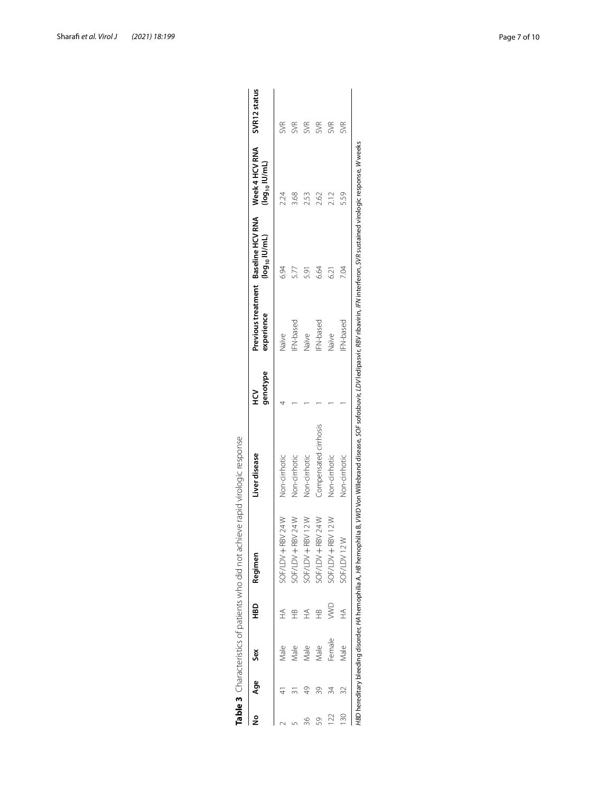| ≗               | Age | ŠêX    | аен<br>Ф        | Regimen             | Liver disease         | genotype<br>ر<br>ع | experience       | Previous treatment Baseline HCV RNA Week 4 HCV RNA<br>$(log_{10}$ IU/mL) | (log <sub>10</sub> IU/mL) | SVR12 status |
|-----------------|-----|--------|-----------------|---------------------|-----------------------|--------------------|------------------|--------------------------------------------------------------------------|---------------------------|--------------|
|                 |     | Male   | £               | 24 W<br>SOF/LDV+RBV | Non-cirrhotic         |                    | Naïve            | 6.94                                                                     |                           | SVR          |
|                 |     | Male   |                 | SOF/LDV+RBV24W      | Non-cirrhotic         |                    | <b>IFN-based</b> | 5.7                                                                      | 3.68                      | SVR          |
|                 |     | Male   |                 | SOF/LDV + RBV 12 W  | Non-cirrhotic         |                    | Naïve            | 531                                                                      | 2.53                      | <b>SVR</b>   |
|                 | 39  | Male   | $\widehat{\pm}$ | SOF/LDV + RBV 24 W  | Compensated cirrhosis |                    | <b>IFN-based</b> | 6.64                                                                     | 2.62                      | <b>SVR</b>   |
| $\geq$          | 24  | Female | ⋚               | SOF/LDV+RBV12W      | Non-cirrhotic         |                    | Naïve            | 621                                                                      | 2.12                      | SVR          |
| $\overline{30}$ | 32  | Male   | £               | SOF/LDV12W          | Non-cirrhotic         |                    | <b>IFN-based</b> | 7.04                                                                     | 5.59                      | <b>SVR</b>   |

<span id="page-6-0"></span>

| i                                                                                      |
|----------------------------------------------------------------------------------------|
| )<br>J                                                                                 |
| 5<br>j                                                                                 |
| 10 SAS SAS SAS SAS TO SAS SAS SAS SAS SAS                                              |
| $\frac{5}{1}$<br>5                                                                     |
| .<br>.<br>.                                                                            |
| ころう サカン サカ しりこすりこく サリッシュ<br>١<br>)<br>)<br>)<br>5<br>n<br>J<br>$\overline{\mathbf{C}}$ |
| ŕ<br>$\epsilon$<br>,<br>q<br>I<br>ľ                                                    |

Sharaf *et al. Virol J (2021) 18:199* Page 7 of 10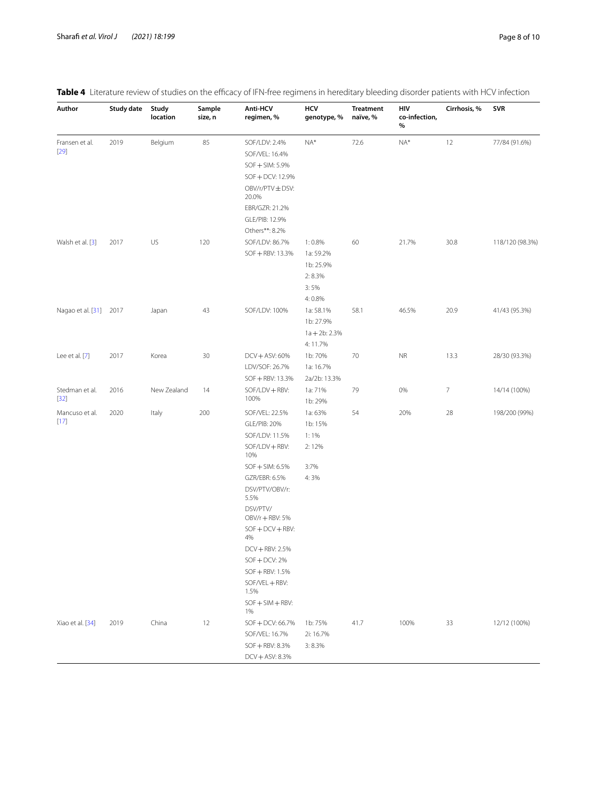### <span id="page-7-0"></span>Table 4 Literature review of studies on the efficacy of IFN-free regimens in hereditary bleeding disorder patients with HCV infection

| Author                   | <b>Study date</b> | Study<br>location | Sample<br>size, n | Anti-HCV<br>regimen, %                                                                                                                                                                                                                                                                                                   | HCV<br>genotype, %                                           | <b>Treatment</b><br>naïve, % | HIV<br>co-infection,<br>% | Cirrhosis, % | SVR             |
|--------------------------|-------------------|-------------------|-------------------|--------------------------------------------------------------------------------------------------------------------------------------------------------------------------------------------------------------------------------------------------------------------------------------------------------------------------|--------------------------------------------------------------|------------------------------|---------------------------|--------------|-----------------|
| Fransen et al.<br>$[29]$ | 2019              | Belgium           | 85                | SOF/LDV: 2.4%<br>SOF/VEL: 16.4%<br>SOF + SIM: 5.9%<br>SOF + DCV: 12.9%<br>OBV/r/PTV±DSV:<br>20.0%<br>EBR/GZR: 21.2%<br>GLE/PIB: 12.9%<br>Others**: 8.2%                                                                                                                                                                  | $NA*$                                                        | 72.6                         | $NA*$                     | 12           | 77/84 (91.6%)   |
| Walsh et al. [3]         | 2017              | US                | 120               | SOF/LDV: 86.7%<br>SOF + RBV: 13.3%                                                                                                                                                                                                                                                                                       | 1:0.8%<br>1a: 59.2%<br>1b: 25.9%<br>2:8.3%<br>3:5%<br>4:0.8% | 60                           | 21.7%                     | 30.8         | 118/120 (98.3%) |
| Nagao et al. [31] 2017   |                   | Japan             | 43                | SOF/LDV: 100%                                                                                                                                                                                                                                                                                                            | 1a: 58.1%<br>1b: 27.9%<br>$1a + 2b$ : 2.3%<br>4:11.7%        | 58.1                         | 46.5%                     | 20.9         | 41/43 (95.3%)   |
| Lee et al. [7]           | 2017              | Korea             | 30                | DCV + ASV: 60%<br>LDV/SOF: 26.7%<br>SOF + RBV: 13.3%                                                                                                                                                                                                                                                                     | 1b: 70%<br>1a: 16.7%<br>2a/2b: 13.3%                         | 70                           | <b>NR</b>                 | 13.3         | 28/30 (93.3%)   |
| Stedman et al.<br>$[32]$ | 2016              | New Zealand       | 14                | SOF/LDV + RBV:<br>100%                                                                                                                                                                                                                                                                                                   | 1a: 71%<br>1b: 29%                                           | 79                           | 0%                        | 7            | 14/14 (100%)    |
| Mancuso et al.<br>$[17]$ | 2020              | Italy             | 200               | SOF/VEL: 22.5%<br><b>GLE/PIB: 20%</b><br>SOF/LDV: 11.5%<br>SOF/LDV + RBV:<br>10%<br>SOF + SIM: 6.5%<br>GZR/EBR: 6.5%<br>DSV/PTV/OBV/r:<br>5.5%<br>DSV/PTV/<br>OBV/r + RBV: 5%<br>$SOF + DCV + RBV:$<br>4%<br>DCV + RBV: 2.5%<br>$SOF + DCV: 2%$<br>SOF + RBV: 1.5%<br>SOF/VEL + RBV:<br>1.5%<br>$SOF + SIM + RBV:$<br>1% | 1a: 63%<br>1b: 15%<br>$1:1\%$<br>2:12%<br>3:7%<br>4:3%       | 54                           | 20%                       | 28           | 198/200 (99%)   |
| Xiao et al. [34]         | 2019              | China             | 12                | SOF + DCV: 66.7%<br>SOF/VEL: 16.7%<br>SOF + RBV: 8.3%<br>DCV + ASV: 8.3%                                                                                                                                                                                                                                                 | 1b: 75%<br>2i: 16.7%<br>3:8.3%                               | 41.7                         | 100%                      | 33           | 12/12 (100%)    |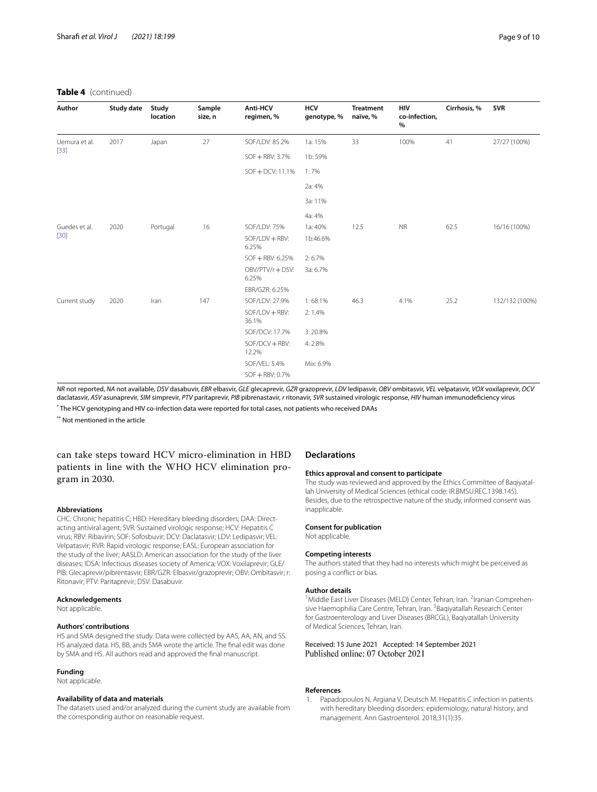### **Table 4** (continued)

| Author                  | Study date | Study<br>location | Sample<br>size, n | <b>Anti-HCV</b><br>regimen, % | <b>HCV</b><br>genotype, % | Treatment<br>naïve, % | HIV<br>co-infection,<br>$\%$ | Cirrhosis, % | <b>SVR</b>     |
|-------------------------|------------|-------------------|-------------------|-------------------------------|---------------------------|-----------------------|------------------------------|--------------|----------------|
| Uemura et al.           | 2017       | Japan             | 27                | SOF/LDV: 85.2%                | 1a: 15%                   | 33                    | 100%                         | 41           | 27/27 (100%)   |
| $[33]$                  |            |                   |                   | SOF + RBV: 3.7%               | 1b: 59%                   |                       |                              |              |                |
|                         |            |                   |                   | SOF + DCV: 11.1%              | 1:7%                      |                       |                              |              |                |
|                         |            |                   |                   |                               | 2a: 4%                    |                       |                              |              |                |
|                         |            |                   |                   |                               | 3a: 11%                   |                       |                              |              |                |
|                         |            |                   |                   |                               | 4a: 4%                    |                       |                              |              |                |
| Guedes et al.<br>$[30]$ | 2020       | Portugal          | 16                | SOF/LDV: 75%                  | 1a: 40%                   | 12.5                  | <b>NR</b>                    | 62.5         | 16/16 (100%)   |
|                         |            |                   |                   | $SOF/LDV + RBV:$<br>6.25%     | 1b:46.6%                  |                       |                              |              |                |
|                         |            |                   |                   | SOF + RBV: 6.25%              | 2:6.7%                    |                       |                              |              |                |
|                         |            |                   |                   | OBV/PTV/r + DSV:<br>6.25%     | 3a: 6.7%                  |                       |                              |              |                |
|                         |            |                   |                   | EBR/GZR: 6.25%                |                           |                       |                              |              |                |
| Current study           | 2020       | Iran              | 147               | SOF/LDV: 27.9%                | 1:68.1%                   | 46.3                  | 4.1%                         | 25.2         | 132/132 (100%) |
|                         |            |                   |                   | SOF/LDV + RBV:<br>36.1%       | 2:1.4%                    |                       |                              |              |                |
|                         |            |                   |                   | SOF/DCV: 17.7%                | 3:20.8%                   |                       |                              |              |                |
|                         |            |                   |                   | SOF/DCV+RBV:<br>12.2%         | 4:2.8%                    |                       |                              |              |                |
|                         |            |                   |                   | SOF/VEL: 5.4%                 | Mix: 6.9%                 |                       |                              |              |                |
|                         |            |                   |                   | $SOF + RBV: 0.7%$             |                           |                       |                              |              |                |

NR not reported, NA not available, DSV dasabuvir, EBR elbasvir, GLE glecaprevir, GZR grazoprevir, LDV ledipasvir, OBV ombitasvir, VEL velpatasvir, VOX voxilaprevir, DCV daclatasvir, *ASV* asunaprevir, *SIM* simprevir, *PTV* paritaprevir, *PIB* pibrenastavir, *r* ritonavir, *SVR* sustained virologic response, *HIV* human immunodefciency virus

\* The HCV genotyping and HIV co-infection data were reported for total cases, not patients who received DAAs

\*\* Not mentioned in the article

### can take steps toward HCV micro-elimination in HBD patients in line with the WHO HCV elimination program in 2030.

#### **Abbreviations**

CHC: Chronic hepatitis C; HBD: Hereditary bleeding disorders; DAA: Directacting antiviral agent; SVR: Sustained virologic response; HCV: Hepatitis C virus; RBV: Ribavirin; SOF: Sofosbuvir; DCV: Daclatasvir; LDV: Ledipasvir; VEL: Velpatasvir; RVR: Rapid virologic response; EASL: European association for the study of the liver; AASLD: American association for the study of the liver diseases; IDSA: Infectious diseases society of America; VOX: Voxilaprevir; GLE/ PIB: Glecaprevir/pibrentasvir; EBR/GZR: Elbasvir/grazoprevir; OBV: Ombitasvir; r: Ritonavir; PTV: Paritaprevir; DSV: Dasabuvir.

### **Acknowledgements**

Not applicable.

### **Authors' contributions**

HS and SMA designed the study. Data were collected by AAS, AA, AN, and SS. HS analyzed data. HS, BB, ands SMA wrote the article. The fnal edit was done by SMA and HS. All authors read and approved the fnal manuscript.

#### **Funding**

Not applicable.

### **Availability of data and materials**

The datasets used and/or analyzed during the current study are available from the corresponding author on reasonable request.

### **Declarations**

### **Ethics approval and consent to participate**

The study was reviewed and approved by the Ethics Committee of Baqiyatallah University of Medical Sciences (ethical code: IR.BMSU.REC.1398.145). Besides, due to the retrospective nature of the study, informed consent was inapplicable.

#### **Consent for publication**

Not applicable.

#### **Competing interests**

The authors stated that they had no interests which might be perceived as posing a confict or bias.

#### **Author details**

<sup>1</sup> Middle East Liver Diseases (MELD) Center, Tehran, Iran. <sup>2</sup>Iranian Comprehensive Haemophilia Care Centre, Tehran, Iran. <sup>3</sup> Baqiyatallah Research Center for Gastroenterology and Liver Diseases (BRCGL), Baqiyatallah University of Medical Sciences, Tehran, Iran.

## Received: 15 June 2021 Accepted: 14 September 2021

#### **References**

<span id="page-8-0"></span>1. Papadopoulos N, Argiana V, Deutsch M. Hepatitis C infection in patients with hereditary bleeding disorders: epidemiology, natural history, and management. Ann Gastroenterol. 2018;31(1):35.